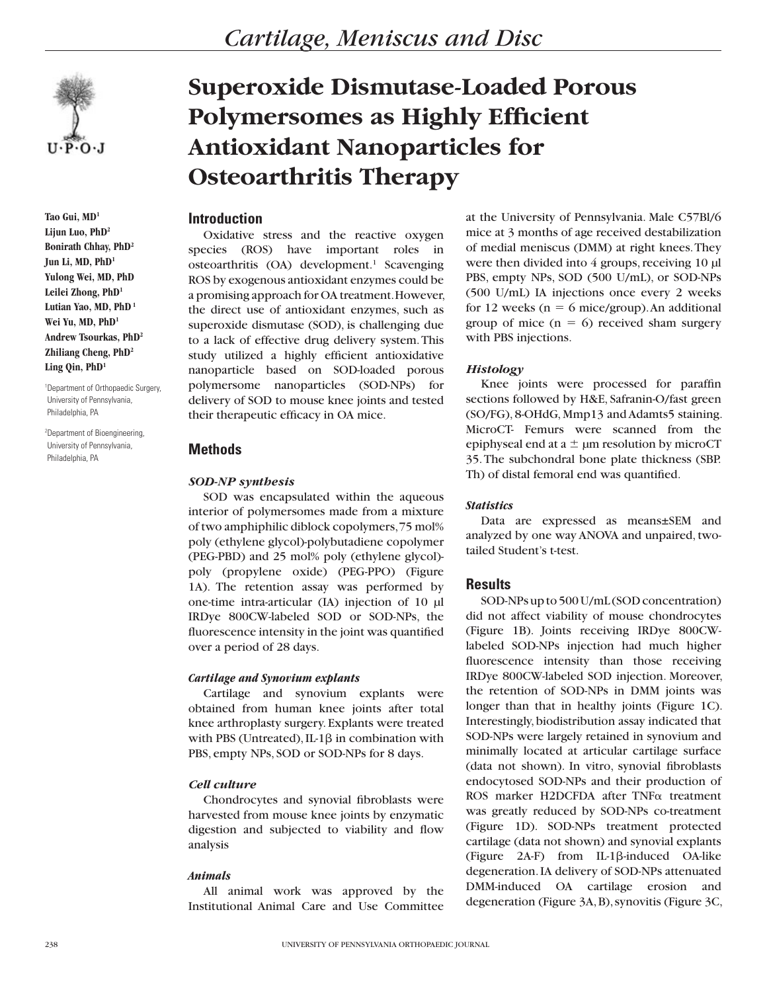

**Tao Gui, MD1 Lijun Luo, PhD2 Bonirath Chhay, PhD2 Jun Li, MD, PhD1 Yulong Wei, MD, PhD Leilei Zhong, PhD1 Lutian Yao, MD, PhD 1** Wei Yu, MD, PhD<sup>1</sup> **Andrew Tsourkas, PhD2 Zhiliang Cheng, PhD2 Ling Qin, PhD1**

1 Department of Orthopaedic Surgery, University of Pennsylvania, Philadelphia, PA

2 Department of Bioengineering, University of Pennsylvania, Philadelphia, PA

# **Superoxide Dismutase-Loaded Porous Polymersomes as Highly Efficient Antioxidant Nanoparticles for Osteoarthritis Therapy**

# **Introduction**

Oxidative stress and the reactive oxygen species (ROS) have important roles in osteoarthritis (OA) development.<sup>1</sup> Scavenging ROS by exogenous antioxidant enzymes could be a promising approach for OA treatment. However, the direct use of antioxidant enzymes, such as superoxide dismutase (SOD), is challenging due to a lack of effective drug delivery system. This study utilized a highly efficient antioxidative nanoparticle based on SOD-loaded porous polymersome nanoparticles (SOD-NPs) for delivery of SOD to mouse knee joints and tested their therapeutic efficacy in OA mice.

# **Methods**

#### *SOD-NP synthesis*

SOD was encapsulated within the aqueous interior of polymersomes made from a mixture of two amphiphilic diblock copolymers, 75 mol% poly (ethylene glycol)-polybutadiene copolymer (PEG-PBD) and 25 mol% poly (ethylene glycol) poly (propylene oxide) (PEG-PPO) (Figure 1A). The retention assay was performed by one-time intra-articular (IA) injection of 10 µl IRDye 800CW-labeled SOD or SOD-NPs, the fluorescence intensity in the joint was quantified over a period of 28 days.

#### *Cartilage and Synovium explants*

Cartilage and synovium explants were obtained from human knee joints after total knee arthroplasty surgery. Explants were treated with PBS (Untreated), IL-1 $\beta$  in combination with PBS, empty NPs, SOD or SOD-NPs for 8 days.

## *Cell culture*

Chondrocytes and synovial fibroblasts were harvested from mouse knee joints by enzymatic digestion and subjected to viability and flow analysis

## *Animals*

All animal work was approved by the Institutional Animal Care and Use Committee at the University of Pennsylvania. Male C57Bl/6 mice at 3 months of age received destabilization of medial meniscus (DMM) at right knees. They were then divided into 4 groups, receiving 10 µl PBS, empty NPs, SOD (500 U/mL), or SOD-NPs (500 U/mL) IA injections once every 2 weeks for 12 weeks ( $n = 6$  mice/group). An additional group of mice  $(n = 6)$  received sham surgery with PBS injections.

## *Histology*

Knee joints were processed for paraffin sections followed by H&E, Safranin-O/fast green (SO/FG), 8-OHdG, Mmp13 and Adamts5 staining. MicroCT- Femurs were scanned from the epiphyseal end at  $a \pm \mu m$  resolution by microCT 35. The subchondral bone plate thickness (SBP. Th) of distal femoral end was quantified.

#### *Statistics*

Data are expressed as means±SEM and analyzed by one way ANOVA and unpaired, twotailed Student's t-test.

## **Results**

SOD-NPs up to 500 U/mL (SOD concentration) did not affect viability of mouse chondrocytes (Figure 1B). Joints receiving IRDye 800CWlabeled SOD-NPs injection had much higher fluorescence intensity than those receiving IRDye 800CW-labeled SOD injection. Moreover, the retention of SOD-NPs in DMM joints was longer than that in healthy joints (Figure 1C). Interestingly, biodistribution assay indicated that SOD-NPs were largely retained in synovium and minimally located at articular cartilage surface (data not shown). In vitro, synovial fibroblasts endocytosed SOD-NPs and their production of ROS marker H2DCFDA after TNFα treatment was greatly reduced by SOD-NPs co-treatment (Figure 1D). SOD-NPs treatment protected cartilage (data not shown) and synovial explants (Figure 2A-F) from IL-1b-induced OA-like degeneration. IA delivery of SOD-NPs attenuated DMM-induced OA cartilage erosion and degeneration (Figure 3A, B), synovitis (Figure 3C,